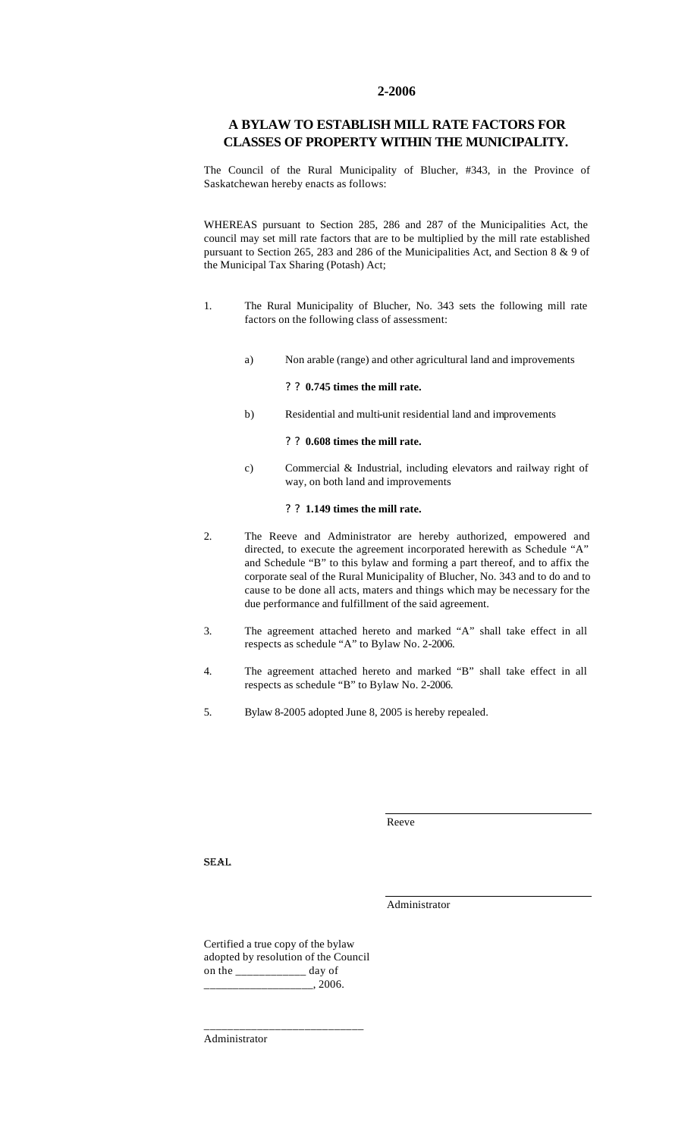#### **2-2006**

### **A BYLAW TO ESTABLISH MILL RATE FACTORS FOR CLASSES OF PROPERTY WITHIN THE MUNICIPALITY.**

The Council of the Rural Municipality of Blucher, #343, in the Province of Saskatchewan hereby enacts as follows:

WHEREAS pursuant to Section 285, 286 and 287 of the Municipalities Act, the council may set mill rate factors that are to be multiplied by the mill rate established pursuant to Section 265, 283 and 286 of the Municipalities Act, and Section 8 & 9 of the Municipal Tax Sharing (Potash) Act;

- 1. The Rural Municipality of Blucher, No. 343 sets the following mill rate factors on the following class of assessment:
	- a) Non arable (range) and other agricultural land and improvements

#### ? ? **0.745 times the mill rate.**

b) Residential and multi-unit residential land and improvements

#### ? ? **0.608 times the mill rate.**

c) Commercial & Industrial, including elevators and railway right of way, on both land and improvements

#### ? ? **1.149 times the mill rate.**

- 2. The Reeve and Administrator are hereby authorized, empowered and directed, to execute the agreement incorporated herewith as Schedule "A" and Schedule "B" to this bylaw and forming a part thereof, and to affix the corporate seal of the Rural Municipality of Blucher, No. 343 and to do and to cause to be done all acts, maters and things which may be necessary for the due performance and fulfillment of the said agreement.
- 3. The agreement attached hereto and marked "A" shall take effect in all respects as schedule "A" to Bylaw No. 2-2006.
- 4. The agreement attached hereto and marked "B" shall take effect in all respects as schedule "B" to Bylaw No. 2-2006.
- 5. Bylaw 8-2005 adopted June 8, 2005 is hereby repealed.

Reeve

SEAL

Administrator

Certified a true copy of the bylaw adopted by resolution of the Council on the \_\_\_\_\_\_\_\_\_\_\_\_ day of  $\frac{1}{2006}$ .

\_\_\_\_\_\_\_\_\_\_\_\_\_\_\_\_\_\_\_\_\_\_\_\_\_\_\_

Administrator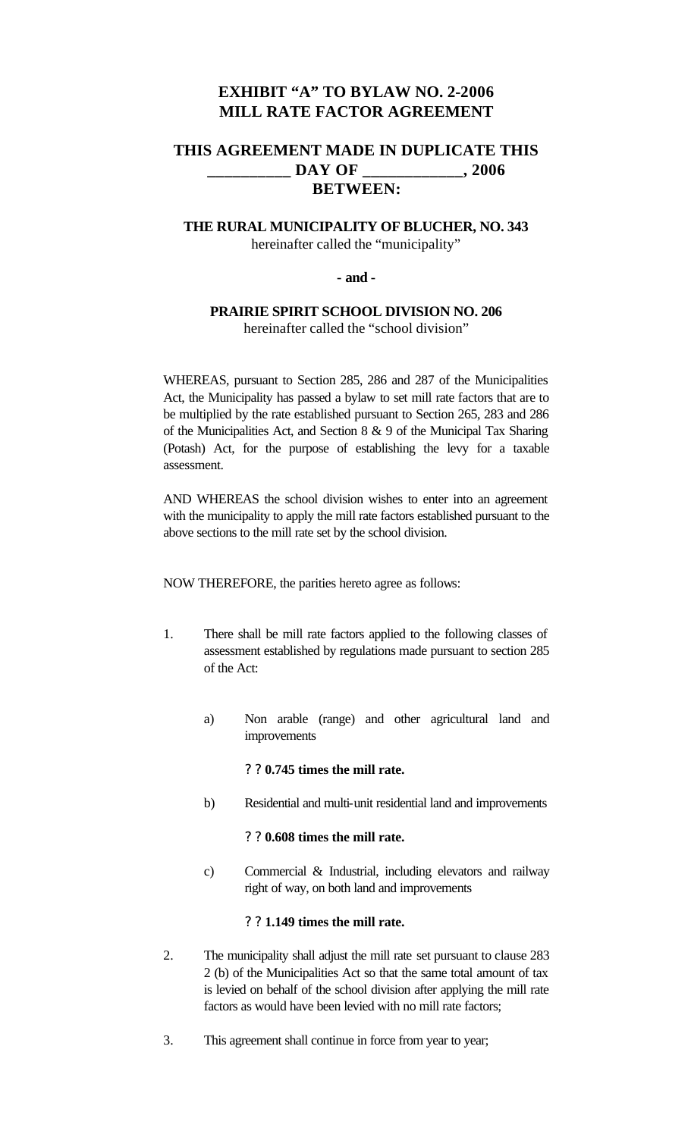# **EXHIBIT "A" TO BYLAW NO. 2-2006 MILL RATE FACTOR AGREEMENT**

# **THIS AGREEMENT MADE IN DUPLICATE THIS \_\_\_\_\_\_\_\_\_\_ DAY OF \_\_\_\_\_\_\_\_\_\_\_\_, 2006 BETWEEN:**

## **THE RURAL MUNICIPALITY OF BLUCHER, NO. 343** hereinafter called the "municipality"

### **- and -**

### **PRAIRIE SPIRIT SCHOOL DIVISION NO. 206** hereinafter called the "school division"

WHEREAS, pursuant to Section 285, 286 and 287 of the Municipalities Act, the Municipality has passed a bylaw to set mill rate factors that are to be multiplied by the rate established pursuant to Section 265, 283 and 286 of the Municipalities Act, and Section 8 & 9 of the Municipal Tax Sharing (Potash) Act, for the purpose of establishing the levy for a taxable assessment.

AND WHEREAS the school division wishes to enter into an agreement with the municipality to apply the mill rate factors established pursuant to the above sections to the mill rate set by the school division.

NOW THEREFORE, the parities hereto agree as follows:

- 1. There shall be mill rate factors applied to the following classes of assessment established by regulations made pursuant to section 285 of the Act:
	- a) Non arable (range) and other agricultural land and improvements

#### ? ? **0.745 times the mill rate.**

b) Residential and multi-unit residential land and improvements

#### ? ? **0.608 times the mill rate.**

c) Commercial & Industrial, including elevators and railway right of way, on both land and improvements

### ? ? **1.149 times the mill rate.**

- 2. The municipality shall adjust the mill rate set pursuant to clause 283 2 (b) of the Municipalities Act so that the same total amount of tax is levied on behalf of the school division after applying the mill rate factors as would have been levied with no mill rate factors;
- 3. This agreement shall continue in force from year to year;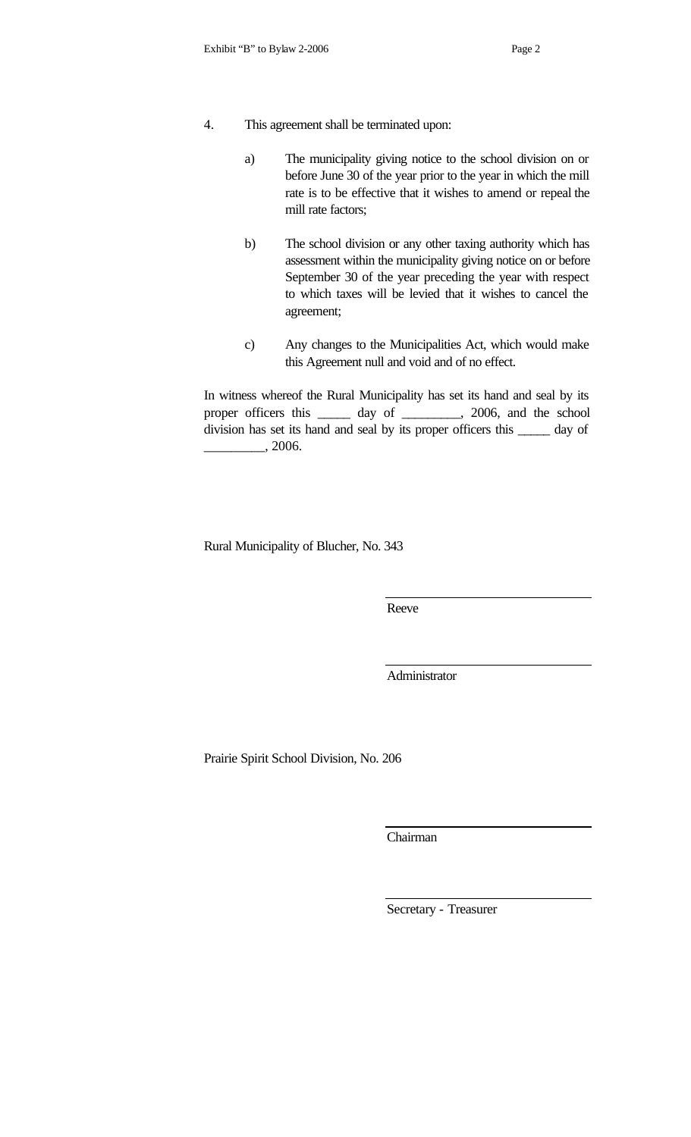- 4. This agreement shall be terminated upon:
	- a) The municipality giving notice to the school division on or before June 30 of the year prior to the year in which the mill rate is to be effective that it wishes to amend or repeal the mill rate factors;
	- b) The school division or any other taxing authority which has assessment within the municipality giving notice on or before September 30 of the year preceding the year with respect to which taxes will be levied that it wishes to cancel the agreement;
	- c) Any changes to the Municipalities Act, which would make this Agreement null and void and of no effect.

In witness whereof the Rural Municipality has set its hand and seal by its proper officers this \_\_\_\_\_ day of \_\_\_\_\_\_\_\_\_, 2006, and the school division has set its hand and seal by its proper officers this \_\_\_\_\_ day of  $\frac{1}{2006}$ .

Rural Municipality of Blucher, No. 343

Reeve

Administrator

Prairie Spirit School Division, No. 206

Chairman

Secretary - Treasurer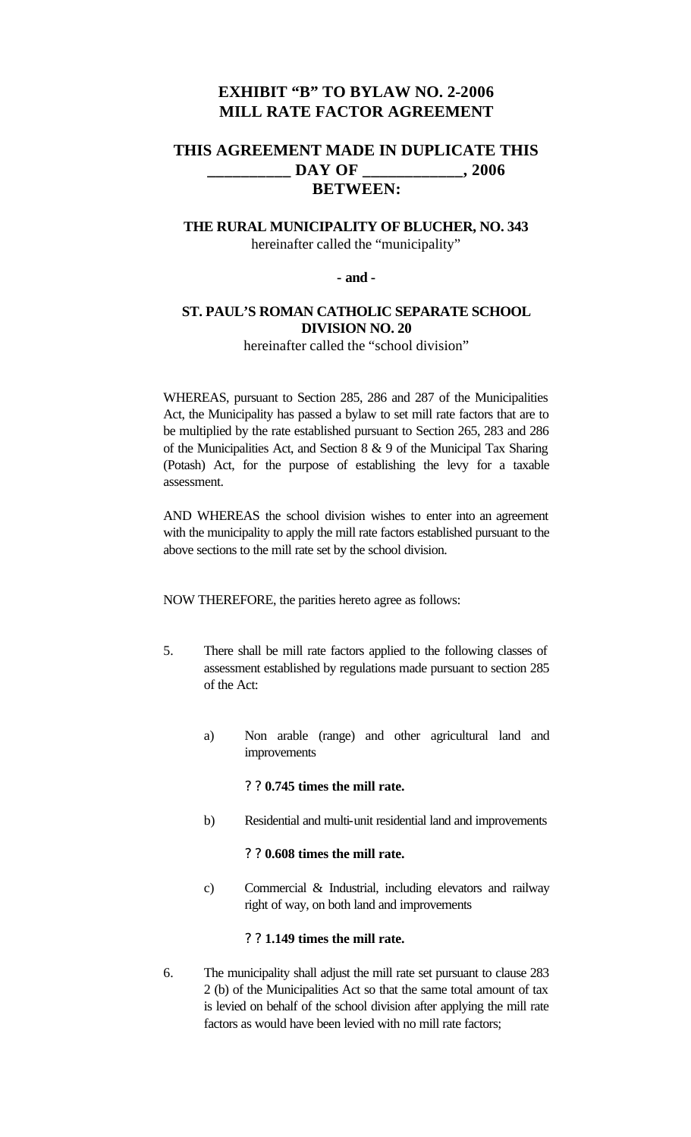# **EXHIBIT "B" TO BYLAW NO. 2-2006 MILL RATE FACTOR AGREEMENT**

# **THIS AGREEMENT MADE IN DUPLICATE THIS \_\_\_\_\_\_\_\_\_\_ DAY OF \_\_\_\_\_\_\_\_\_\_\_\_, 2006 BETWEEN:**

## **THE RURAL MUNICIPALITY OF BLUCHER, NO. 343** hereinafter called the "municipality"

### **- and -**

## **ST. PAUL'S ROMAN CATHOLIC SEPARATE SCHOOL DIVISION NO. 20**

hereinafter called the "school division"

WHEREAS, pursuant to Section 285, 286 and 287 of the Municipalities Act, the Municipality has passed a bylaw to set mill rate factors that are to be multiplied by the rate established pursuant to Section 265, 283 and 286 of the Municipalities Act, and Section 8 & 9 of the Municipal Tax Sharing (Potash) Act, for the purpose of establishing the levy for a taxable assessment.

AND WHEREAS the school division wishes to enter into an agreement with the municipality to apply the mill rate factors established pursuant to the above sections to the mill rate set by the school division.

NOW THEREFORE, the parities hereto agree as follows:

- 5. There shall be mill rate factors applied to the following classes of assessment established by regulations made pursuant to section 285 of the Act:
	- a) Non arable (range) and other agricultural land and improvements

### ? ? **0.745 times the mill rate.**

b) Residential and multi-unit residential land and improvements

### ? ? **0.608 times the mill rate.**

c) Commercial & Industrial, including elevators and railway right of way, on both land and improvements

## ? ? **1.149 times the mill rate.**

6. The municipality shall adjust the mill rate set pursuant to clause 283 2 (b) of the Municipalities Act so that the same total amount of tax is levied on behalf of the school division after applying the mill rate factors as would have been levied with no mill rate factors;